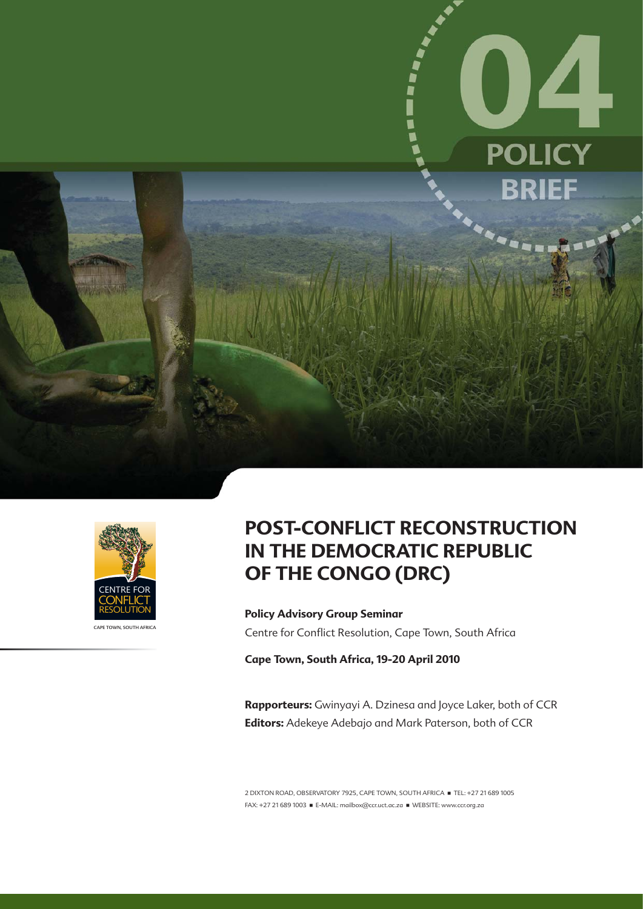



CAPE TOWN, SOUTH AFRICA

# **POST-CONFLICT RECONSTRUCTION IN THE DEMOCRATIC REPUBLIC OF THE CONGO (DRC)**

**Policy Advisory Group Seminar** Centre for Conflict Resolution, Cape Town, South Africa

**Cape Town, South Africa, 19-20 April 2010** 

**Rapporteurs:** Gwinyayi A. Dzinesa and Joyce Laker, both of CCR **Editors:** Adekeye Adebajo and Mark Paterson, both of CCR

2 DIXTON ROAD, OBSERVATORY 7925, CAPE TOWN, SOUTH AFRICA **THEL: +27 21 689 1005** FAX: +27 21 689 1003 · E-MAIL: mailbox@ccr.uct.ac.za · WEBSITE: www.ccr.org.za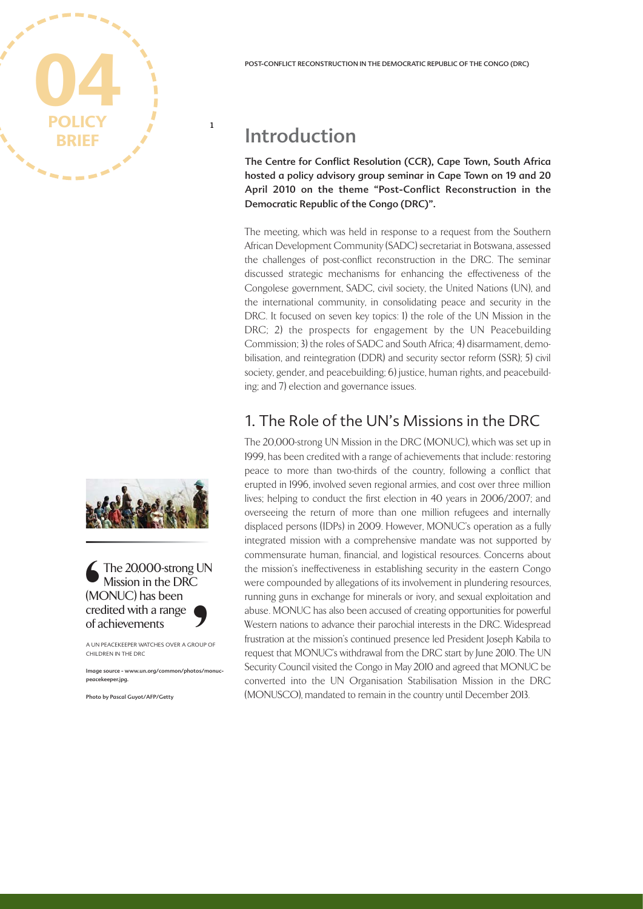



The 20,000-strong UN Mission in the DRC (MONUC) has been credited with a range of achievements MC<br>
(MC)<br>
CHILD<br>
Image S<br>
ROUP C<br>
tos/me

A UN PEACEKEEPER WATCHES OVER A GROUP OF CHILDREN IN THE DRC

Image source - www.un.org/common/photos/monucpeacekeeper.jpg.

Photo by Pascal Guyot/AFP/Getty

# Introduction

**1**

The Centre for Conflict Resolution (CCR), Cape Town, South Africa hosted a policy advisory group seminar in Cape Town on 19 and 20 April 2010 on the theme "Post-Conflict Reconstruction in the Democratic Republic of the Congo (DRC)".

The meeting, which was held in response to a request from the Southern African Development Community (SADC) secretariat in Botswana, assessed the challenges of post-conflict reconstruction in the DRC. The seminar discussed strategic mechanisms for enhancing the effectiveness of the Congolese government, SADC, civil society, the United Nations (UN), and the international community, in consolidating peace and security in the DRC. It focused on seven key topics: 1) the role of the UN Mission in the DRC; 2) the prospects for engagement by the UN Peacebuilding Commission; 3) the roles of SADC and South Africa; 4) disarmament, demobilisation, and reintegration (DDR) and security sector reform (SSR); 5) civil society, gender, and peacebuilding; 6) justice, human rights, and peacebuilding; and 7) election and governance issues.

# 1. The Role of the UN's Missions in the DRC

The 20,000-strong UN Mission in the DRC (MONUC), which was set up in 1999, has been credited with a range of achievements that include: restoring peace to more than two-thirds of the country, following a conflict that erupted in 1996, involved seven regional armies, and cost over three million lives; helping to conduct the first election in 40 years in 2006/2007; and overseeing the return of more than one million refugees and internally displaced persons (IDPs) in 2009. However, MONUC's operation as a fully integrated mission with a comprehensive mandate was not supported by commensurate human, financial, and logistical resources. Concerns about the mission's ineffectiveness in establishing security in the eastern Congo were compounded by allegations of its involvement in plundering resources, running guns in exchange for minerals or ivory, and sexual exploitation and abuse. MONUC has also been accused of creating opportunities for powerful Western nations to advance their parochial interests in the DRC. Widespread frustration at the mission's continued presence led President Joseph Kabila to request that MONUC's withdrawal from the DRC start by June 2010. The UN Security Council visited the Congo in May 2010 and agreed that MONUC be converted into the UN Organisation Stabilisation Mission in the DRC (MONUSCO), mandated to remain in the country until December 2013.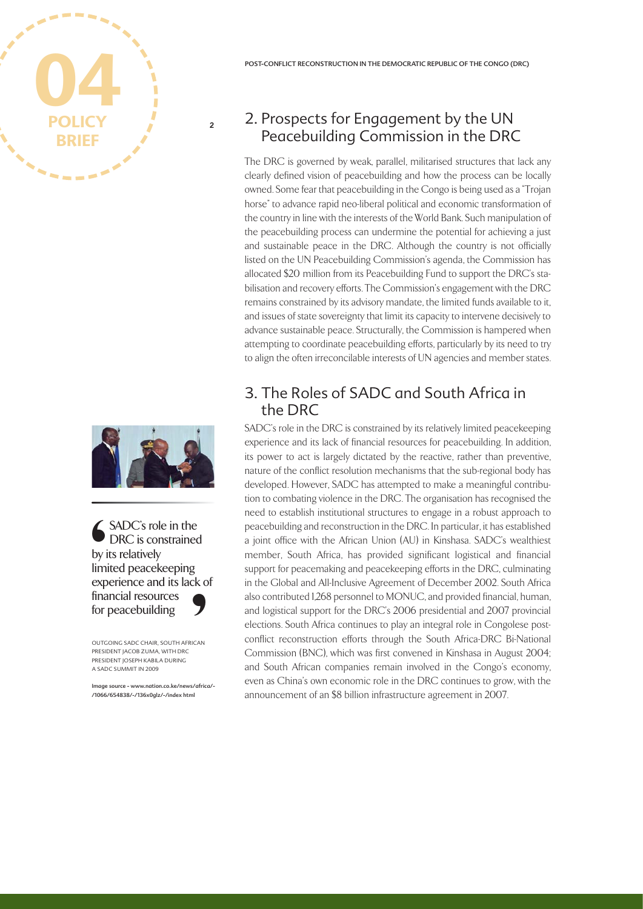# **BRIEF 04**



**2**

SADC's role in the DRC is constrained by its relatively limited peacekeeping experience and its lack of financial resources for peacebuilding Supply in the separation of the separation of the separation of the separation of the separation of the separation of the separation of the separation of the separation of the separation of the separation of the separation S<br>
ICAN<br>
S/africe

OUTGOING SADC CHAIR, SOUTH AFRICAN PRESIDENT JACOB ZUMA, WITH DRC PRESIDENT JOSEPH KABILA DURING A SADC SUMMIT IN 2009

Image source - www.nation.co.ke/news/africa/- /1066/654838/-/136x0glz/-/index html

# 2. Prospects for Engagement by the UN Peacebuilding Commission in the DRC

The DRC is governed by weak, parallel, militarised structures that lack any clearly defined vision of peacebuilding and how the process can be locally owned. Some fear that peacebuilding in the Congo is being used as a "Trojan horse" to advance rapid neo-liberal political and economic transformation of the country in line with the interests of the World Bank. Such manipulation of the peacebuilding process can undermine the potential for achieving a just and sustainable peace in the DRC. Although the country is not officially listed on the UN Peacebuilding Commission's agenda, the Commission has allocated \$20 million from its Peacebuilding Fund to support the DRC's stabilisation and recovery efforts. The Commission's engagement with the DRC remains constrained by its advisory mandate, the limited funds available to it, and issues of state sovereignty that limit its capacity to intervene decisively to advance sustainable peace. Structurally, the Commission is hampered when attempting to coordinate peacebuilding efforts, particularly by its need to try to align the often irreconcilable interests of UN agencies and member states.

## 3. The Roles of SADC and South Africa in the DRC

SADC's role in the DRC is constrained by its relatively limited peacekeeping experience and its lack of financial resources for peacebuilding. In addition, its power to act is largely dictated by the reactive, rather than preventive, nature of the conflict resolution mechanisms that the sub-regional body has developed. However, SADC has attempted to make a meaningful contribution to combating violence in the DRC. The organisation has recognised the need to establish institutional structures to engage in a robust approach to peacebuilding and reconstruction in the DRC. In particular, it has established a joint office with the African Union (AU) in Kinshasa. SADC's wealthiest member, South Africa, has provided significant logistical and financial support for peacemaking and peacekeeping efforts in the DRC, culminating in the Global and All-Inclusive Agreement of December 2002. South Africa also contributed 1,268 personnel to MONUC, and provided financial, human, and logistical support for the DRC's 2006 presidential and 2007 provincial elections. South Africa continues to play an integral role in Congolese postconflict reconstruction efforts through the South Africa-DRC Bi-National Commission (BNC), which was first convened in Kinshasa in August 2004; and South African companies remain involved in the Congo's economy, even as China's own economic role in the DRC continues to grow, with the announcement of an \$8 billion infrastructure agreement in 2007.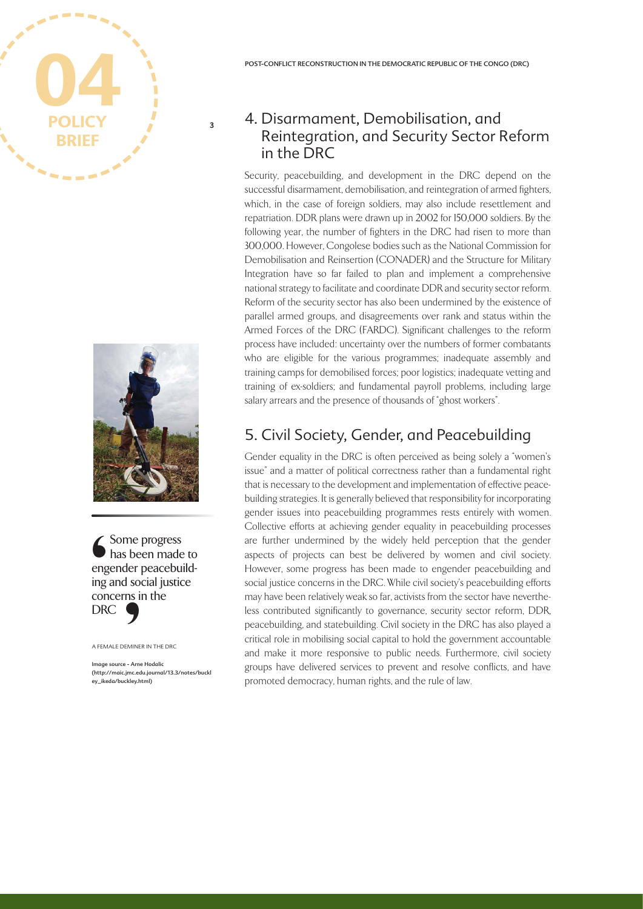



Some progress has been made to engender peacebuilding and social justice concerns in the DRC Summer and DR<sup>(AFEM</sup>) EMINE<br>
EMINE<br>
:- Arne<br>
imc.ed<br>
ckley.ht

A FEMALE DEMINER IN THE DRC

Image source - Arne Hodalic (http://maic.jmc.edu.journal/13.3/notes/buckl ey\_ikeda/buckley.html)

#### 4. Disarmament, Demobilisation, and Reintegration, and Security Sector Reform in the DRC

Security, peacebuilding, and development in the DRC depend on the successful disarmament, demobilisation, and reintegration of armed fighters, which, in the case of foreign soldiers, may also include resettlement and repatriation. DDR plans were drawn up in 2002 for 150,000 soldiers. By the following year, the number of fighters in the DRC had risen to more than 300,000. However, Congolese bodies such as the National Commission for Demobilisation and Reinsertion (CONADER) and the Structure for Military Integration have so far failed to plan and implement a comprehensive national strategy to facilitate and coordinate DDR and security sector reform. Reform of the security sector has also been undermined by the existence of parallel armed groups, and disagreements over rank and status within the Armed Forces of the DRC (FARDC). Significant challenges to the reform process have included: uncertainty over the numbers of former combatants who are eligible for the various programmes; inadequate assembly and training camps for demobilised forces; poor logistics; inadequate vetting and training of ex-soldiers; and fundamental payroll problems, including large salary arrears and the presence of thousands of "ghost workers".

# 5. Civil Society, Gender, and Peacebuilding

Gender equality in the DRC is often perceived as being solely a "women's issue" and a matter of political correctness rather than a fundamental right that is necessary to the development and implementation of effective peacebuilding strategies. It is generally believed that responsibility for incorporating gender issues into peacebuilding programmes rests entirely with women. Collective efforts at achieving gender equality in peacebuilding processes are further undermined by the widely held perception that the gender aspects of projects can best be delivered by women and civil society. However, some progress has been made to engender peacebuilding and social justice concerns in the DRC. While civil society's peacebuilding efforts may have been relatively weak so far, activists from the sector have nevertheless contributed significantly to governance, security sector reform, DDR, peacebuilding, and statebuilding. Civil society in the DRC has also played a critical role in mobilising social capital to hold the government accountable and make it more responsive to public needs. Furthermore, civil society groups have delivered services to prevent and resolve conflicts, and have promoted democracy, human rights, and the rule of law.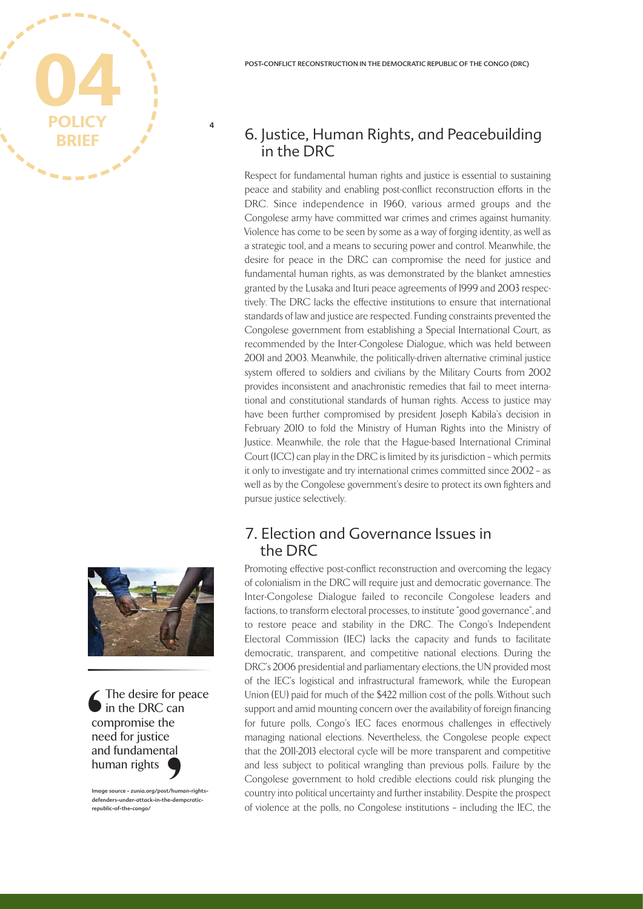

# 6. Justice, Human Rights, and Peacebuilding in the DRC

Respect for fundamental human rights and justice is essential to sustaining peace and stability and enabling post-conflict reconstruction efforts in the DRC. Since independence in 1960, various armed groups and the Congolese army have committed war crimes and crimes against humanity. Violence has come to be seen by some as a way of forging identity, as well as a strategic tool, and a means to securing power and control. Meanwhile, the desire for peace in the DRC can compromise the need for justice and fundamental human rights, as was demonstrated by the blanket amnesties granted by the Lusaka and Ituri peace agreements of 1999 and 2003 respectively. The DRC lacks the effective institutions to ensure that international standards of law and justice are respected. Funding constraints prevented the Congolese government from establishing a Special International Court, as recommended by the Inter-Congolese Dialogue, which was held between 2001 and 2003. Meanwhile, the politically-driven alternative criminal justice system offered to soldiers and civilians by the Military Courts from 2002 provides inconsistent and anachronistic remedies that fail to meet international and constitutional standards of human rights. Access to justice may have been further compromised by president Joseph Kabila's decision in February 2010 to fold the Ministry of Human Rights into the Ministry of Justice. Meanwhile, the role that the Hague-based International Criminal Court (ICC) can play in the DRC is limited by its jurisdiction – which permits it only to investigate and try international crimes committed since 2002 – as well as by the Congolese government's desire to protect its own fighters and pursue justice selectively.

#### 7. Election and Governance Issues in the DRC

Promoting effective post-conflict reconstruction and overcoming the legacy of colonialism in the DRC will require just and democratic governance. The Inter-Congolese Dialogue failed to reconcile Congolese leaders and factions, to transform electoral processes, to institute "good governance", and to restore peace and stability in the DRC. The Congo's Independent Electoral Commission (IEC) lacks the capacity and funds to facilitate democratic, transparent, and competitive national elections. During the DRC's 2006 presidential and parliamentary elections, the UN provided most of the IEC's logistical and infrastructural framework, while the European Union (EU) paid for much of the \$422 million cost of the polls. Without such support and amid mounting concern over the availability of foreign financing for future polls, Congo's IEC faces enormous challenges in effectively managing national elections. Nevertheless, the Congolese people expect that the 2011-2013 electoral cycle will be more transparent and competitive and less subject to political wrangling than previous polls. Failure by the Congolese government to hold credible elections could risk plunging the country into political uncertainty and further instability. Despite the prospect of violence at the polls, no Congolese institutions – including the IEC, the



The desire for peace in the DRC can compromise the need for justice and fundamental human rights College and hu t/humone-dem

Image source - zunia.org/post/human-rights-.<br>ders-under-attack-in-the-dempcraticrepublic-of-the-congo/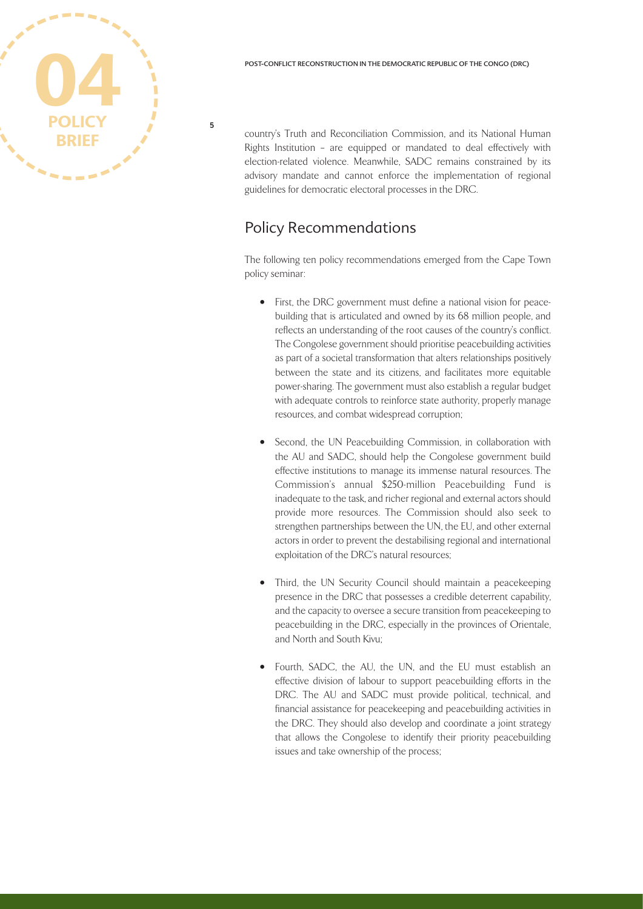**BRIEF 04 POLICY**

**5**

country's Truth and Reconciliation Commission, and its National Human Rights Institution – are equipped or mandated to deal effectively with election-related violence. Meanwhile, SADC remains constrained by its advisory mandate and cannot enforce the implementation of regional guidelines for democratic electoral processes in the DRC.

### Policy Recommendations

The following ten policy recommendations emerged from the Cape Town policy seminar:

- First, the DRC government must define a national vision for peacebuilding that is articulated and owned by its 68 million people, and reflects an understanding of the root causes of the country's conflict. The Congolese government should prioritise peacebuilding activities as part of a societal transformation that alters relationships positively between the state and its citizens, and facilitates more equitable power-sharing. The government must also establish a regular budget with adequate controls to reinforce state authority, properly manage resources, and combat widespread corruption;
- Second, the UN Peacebuilding Commission, in collaboration with the AU and SADC, should help the Congolese government build effective institutions to manage its immense natural resources. The Commission's annual \$250-million Peacebuilding Fund is inadequate to the task, and richer regional and external actors should provide more resources. The Commission should also seek to strengthen partnerships between the UN, the EU, and other external actors in order to prevent the destabilising regional and international exploitation of the DRC's natural resources;
- Third, the UN Security Council should maintain a peacekeeping presence in the DRC that possesses a credible deterrent capability, and the capacity to oversee a secure transition from peacekeeping to peacebuilding in the DRC, especially in the provinces of Orientale, and North and South Kivu;
- Fourth, SADC, the AU, the UN, and the EU must establish an effective division of labour to support peacebuilding efforts in the DRC. The AU and SADC must provide political, technical, and financial assistance for peacekeeping and peacebuilding activities in the DRC. They should also develop and coordinate a joint strategy that allows the Congolese to identify their priority peacebuilding issues and take ownership of the process;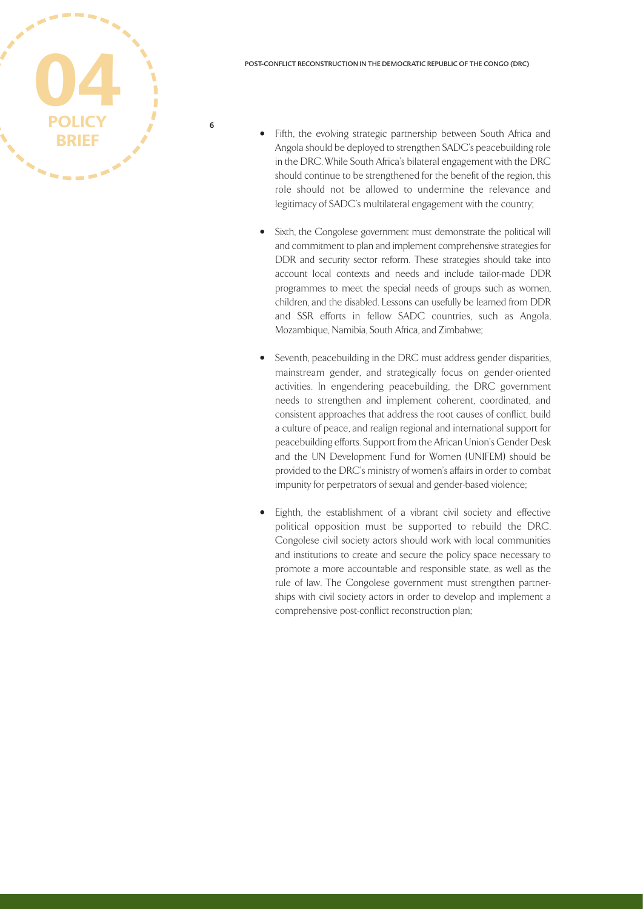

- Fifth, the evolving strategic partnership between South Africa and Angola should be deployed to strengthen SADC's peacebuilding role in the DRC. While South Africa's bilateral engagement with the DRC should continue to be strengthened for the benefit of the region, this role should not be allowed to undermine the relevance and legitimacy of SADC's multilateral engagement with the country;
- Sixth, the Congolese government must demonstrate the political will and commitment to plan and implement comprehensive strategies for DDR and security sector reform. These strategies should take into account local contexts and needs and include tailor-made DDR programmes to meet the special needs of groups such as women, children, and the disabled. Lessons can usefully be learned from DDR and SSR efforts in fellow SADC countries, such as Angola, Mozambique, Namibia, South Africa, and Zimbabwe;
- Seventh, peacebuilding in the DRC must address gender disparities, mainstream gender, and strategically focus on gender-oriented activities. In engendering peacebuilding, the DRC government needs to strengthen and implement coherent, coordinated, and consistent approaches that address the root causes of conflict, build a culture of peace, and realign regional and international support for peacebuilding efforts. Support from the African Union's Gender Desk and the UN Development Fund for Women (UNIFEM) should be provided to the DRC's ministry of women's affairs in order to combat impunity for perpetrators of sexual and gender-based violence;
- Eighth, the establishment of a vibrant civil society and effective political opposition must be supported to rebuild the DRC. Congolese civil society actors should work with local communities and institutions to create and secure the policy space necessary to promote a more accountable and responsible state, as well as the rule of law. The Congolese government must strengthen partnerships with civil society actors in order to develop and implement a comprehensive post-conflict reconstruction plan;